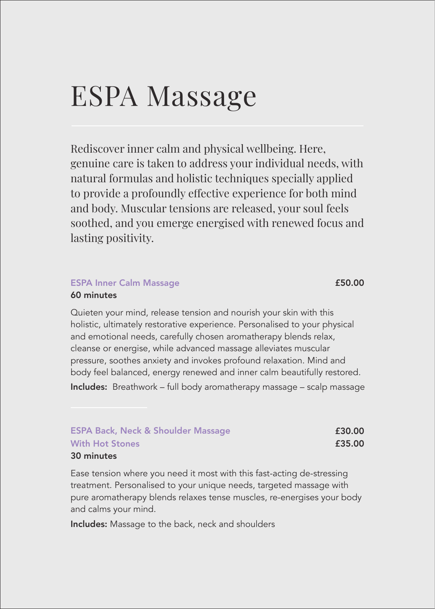## ESPA Massage

Rediscover inner calm and physical wellbeing. Here, genuine care is taken to address your individual needs, with natural formulas and holistic techniques specially applied to provide a profoundly effective experience for both mind and body. Muscular tensions are released, your soul feels soothed, and you emerge energised with renewed focus and lasting positivity.

#### ESPA Inner Calm Massage **ESPA Inner Calm Massage** 60 minutes

Quieten your mind, release tension and nourish your skin with this holistic, ultimately restorative experience. Personalised to your physical and emotional needs, carefully chosen aromatherapy blends relax, cleanse or energise, while advanced massage alleviates muscular pressure, soothes anxiety and invokes profound relaxation. Mind and body feel balanced, energy renewed and inner calm beautifully restored. Includes: Breathwork – full body aromatherapy massage – scalp massage

| <b>ESPA Back, Neck &amp; Shoulder Massage</b> | £30.00 |
|-----------------------------------------------|--------|
| <b>With Hot Stones</b>                        | £35.00 |
| 30 minutes                                    |        |

Ease tension where you need it most with this fast-acting de-stressing treatment. Personalised to your unique needs, targeted massage with pure aromatherapy blends relaxes tense muscles, re-energises your body and calms your mind.

Includes: Massage to the back, neck and shoulders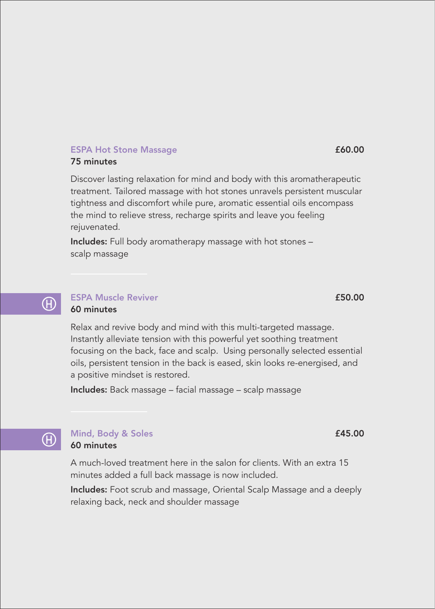#### ESPA Hot Stone Massage **ESPA** Hot Stone Massage **£60.00** 75 minutes

Discover lasting relaxation for mind and body with this aromatherapeutic treatment. Tailored massage with hot stones unravels persistent muscular tightness and discomfort while pure, aromatic essential oils encompass the mind to relieve stress, recharge spirits and leave you feeling rejuvenated.

Includes: Full body aromatherapy massage with hot stones – scalp massage

### $\left(\mathrm{H}\right)$

#### ESPA Muscle Reviver **2008 ESPA Muscle Reviver 2008** 60 minutes

Relax and revive body and mind with this multi-targeted massage. Instantly alleviate tension with this powerful yet soothing treatment focusing on the back, face and scalp. Using personally selected essential oils, persistent tension in the back is eased, skin looks re-energised, and a positive mindset is restored.

Includes: Back massage – facial massage – scalp massage



#### Mind, Body & Soles **£45.00** 60 minutes

A much-loved treatment here in the salon for clients. With an extra 15 minutes added a full back massage is now included.

Includes: Foot scrub and massage, Oriental Scalp Massage and a deeply relaxing back, neck and shoulder massage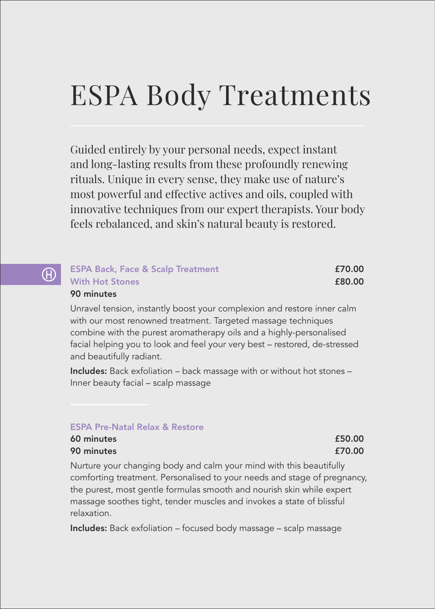# ESPA Body Treatments

Guided entirely by your personal needs, expect instant and long-lasting results from these profoundly renewing rituals. Unique in every sense, they make use of nature's most powerful and effective actives and oils, coupled with innovative techniques from our expert therapists. Your body feels rebalanced, and skin's natural beauty is restored.

#### ESPA Back, Face & Scalp Treatment **ESPA Back, Face & Scalp Treatment**  $\mathcal{F}$ With Hot Stones **E80.00** 90 minutes

Unravel tension, instantly boost your complexion and restore inner calm with our most renowned treatment. Targeted massage techniques combine with the purest aromatherapy oils and a highly-personalised facial helping you to look and feel your very best – restored, de-stressed and beautifully radiant.

Includes: Back exfoliation – back massage with or without hot stones – Inner beauty facial – scalp massage

#### ESPA Pre-Natal Relax & Restore

| 60 minutes | £50.00 |
|------------|--------|
| 90 minutes | £70.00 |

Nurture your changing body and calm your mind with this beautifully comforting treatment. Personalised to your needs and stage of pregnancy, the purest, most gentle formulas smooth and nourish skin while expert massage soothes tight, tender muscles and invokes a state of blissful relaxation.

Includes: Back exfoliation – focused body massage – scalp massage